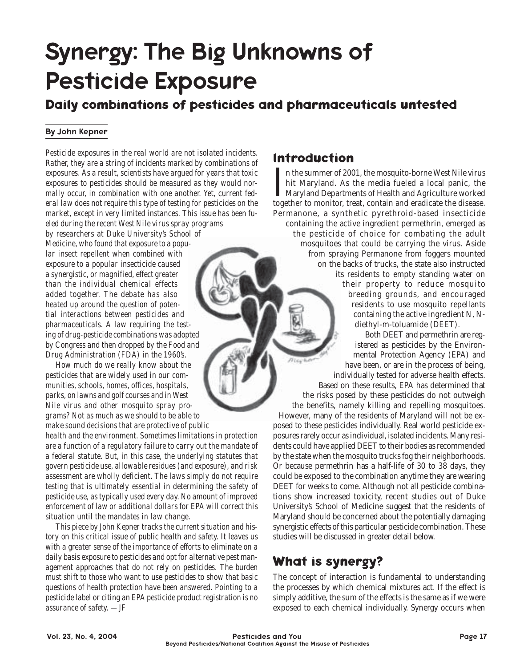# Synergy: The Big Unknowns of Pesticide Exposure

### **Daily combinations of pesticides and pharmaceuticals untested**

#### By John Kepner

*Pesticide exposures in the real world are not isolated incidents. Rather, they are a string of incidents marked by combinations of exposures. As a result, scientists have argued for years that toxic exposures to pesticides should be measured as they would normally occur, in combination with one another. Yet, current federal law does not require this type of testing for pesticides on the market, except in very limited instances. This issue has been fueled during the recent West Nile virus spray programs by researchers at Duke University's School of Medicine, who found that exposure to a popular insect repellent when combined with exposure to a popular insecticide caused a synergistic, or magnified, effect greater than the individual chemical effects added together. The debate has also heated up around the question of potential interactions between pesticides and pharmaceuticals. A law requiring the testing of drug-pesticide combinations was adopted by Congress and then dropped by the Food and Drug Administration (FDA) in the 1960's.*

*How much do we really know about the pesticides that are widely used in our communities, schools, homes, offices, hospitals, parks, on lawns and golf courses and in West Nile virus and other mosquito spray programs? Not as much as we should to be able to make sound decisions that are protective of public*

*health and the environment. Sometimes limitations in protection are a function of a regulatory failure to carry out the mandate of a federal statute. But, in this case, the underlying statutes that govern pesticide use, allowable residues (and exposure), and risk assessment are wholly deficient. The laws simply do not require testing that is ultimately essential in determining the safety of pesticide use, as typically used every day. No amount of improved enforcement of law or additional dollars for EPA will correct this situation until the mandates in law change.*

*This piece by John Kepner tracks the current situation and history on this critical issue of public health and safety. It leaves us with a greater sense of the importance of efforts to eliminate on a daily basis exposure to pesticides and opt for alternative pest management approaches that do not rely on pesticides. The burden must shift to those who want to use pesticides to show that basic questions of health protection have been answered. Pointing to a pesticide label or citing an EPA pesticide product registration is no assurance of safety. —JF*

#### **lntroduction**

 $\prod_{\text{toped}}$ If it the summer of 2001, the mosquito-borne West Nile virus hit Maryland. As the media fueled a local panic, the Maryland Departments of Health and Agriculture worked together to monitor, treat, contain and eradicate the disease. Permanone, a synthetic pyrethroid-based insecticide containing the active ingredient permethrin, emerged as the pesticide of choice for combating the adult mosquitoes that could be carrying the virus. Aside from spraying Permanone from foggers mounted on the backs of trucks, the state also instructed its residents to empty standing water on their property to reduce mosquito breeding grounds, and encouraged residents to use mosquito repellants containing the active ingredient N, Ndiethyl-m-toluamide (DEET).

Both DEET and permethrin are registered as pesticides by the Environmental Protection Agency (EPA) and nice have been, or are in the process of being, individually tested for adverse health effects. Based on these results, EPA has determined that the risks posed by these pesticides do not outweigh the benefits, namely killing and repelling mosquitoes. However, many of the residents of Maryland will not be exposed to these pesticides individually. Real world pesticide exposures rarely occur as individual, isolated incidents. Many residents could have applied DEET to their bodies as recommended by the state when the mosquito trucks fog their neighborhoods. Or because permethrin has a half-life of 30 to 38 days, they could be exposed to the combination anytime they are wearing DEET for weeks to come. Although not all pesticide combina-

tions show increased toxicity, recent studies out of Duke University's School of Medicine suggest that the residents of Maryland should be concerned about the potentially damaging synergistic effects of this particular pesticide combination. These studies will be discussed in greater detail below.

## **What is synergy?**

The concept of interaction is fundamental to understanding the processes by which chemical mixtures act. If the effect is simply additive, the sum of the effects is the same as if we were exposed to each chemical individually. Synergy occurs when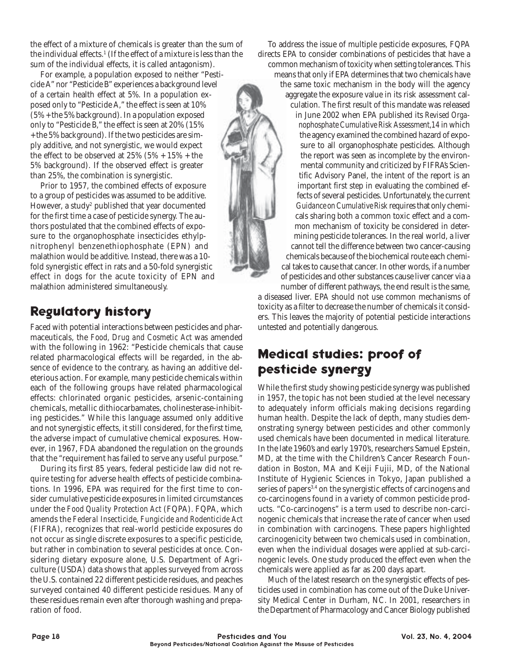the effect of a mixture of chemicals is greater than the sum of the individual effects.1 (If the effect of a mixture is less than the sum of the individual effects, it is called antagonism).

For example, a population exposed to neither "Pesticide A" nor "Pesticide B" experiences a background level of a certain health effect at 5%. In a population exposed only to "Pesticide A," the effect is seen at 10% (5% + the 5% background). In a population exposed only to "Pesticide B," the effect is seen at 20% (15% + the 5% background). If the two pesticides are simply additive, and not synergistic, we would expect the effect to be observed at  $25\%$  ( $5\%$  +  $15\%$  + the 5% background). If the observed effect is greater than 25%, the combination is synergistic.

Prior to 1957, the combined effects of exposure to a group of pesticides was assumed to be additive. However, a study $^{\rm z}$  published that year documented for the first time a case of pesticide synergy. The authors postulated that the combined effects of exposure to the organophosphate insecticides ethyl*p*nitrophenyl benzenethiophosphate (EPN) and malathion would be additive. Instead, there was a 10 fold synergistic effect in rats and a 50-fold synergistic effect in dogs for the acute toxicity of EPN and malathion administered simultaneously.

# **Regulatory history**

Faced with potential interactions between pesticides and pharmaceuticals, the *Food, Drug and Cosmetic Act* was amended with the following in 1962: "Pesticide chemicals that cause related pharmacological effects will be regarded, in the absence of evidence to the contrary, as having an additive deleterious action. For example, many pesticide chemicals within each of the following groups have related pharmacological effects: chlorinated organic pesticides, arsenic-containing chemicals, metallic dithiocarbamates, cholinesterase-inhibiting pesticides." While this language assumed only additive and not synergistic effects, it still considered, for the first time, the adverse impact of cumulative chemical exposures. However, in 1967, FDA abandoned the regulation on the grounds that the "requirement has failed to serve any useful purpose."

During its first 85 years, federal pesticide law did not require testing for adverse health effects of pesticide combinations. In 1996, EPA was required for the first time to consider cumulative pesticide exposures in limited circumstances under the *Food Quality Protection Act* (FQPA). FQPA, which amends the *Federal Insecticide, Fungicide and Rodenticide Act* (FIFRA), recognizes that real-world pesticide exposures do not occur as single discrete exposures to a specific pesticide, but rather in combination to several pesticides at once. Considering dietary exposure alone, U.S. Department of Agriculture (USDA) data shows that apples surveyed from across the U.S. contained 22 different pesticide residues, and peaches surveyed contained 40 different pesticide residues. Many of these residues remain even after thorough washing and preparation of food.

To address the issue of multiple pesticide exposures, FQPA directs EPA to consider combinations of pesticides that have a common mechanism of toxicity when setting tolerances. This means that only if EPA determines that two chemicals have the same toxic mechanism in the body will the agency aggregate the exposure value in its risk assessment calculation. The first result of this mandate was released in June 2002 when EPA published its *Revised Organophosphate Cumulative Risk Assessment,14* in which the agency examined the combined hazard of exposure to all organophosphate pesticides. Although the report was seen as incomplete by the environmental community and criticized by FIFRA's Scientific Advisory Panel, the intent of the report is an important first step in evaluating the combined effects of several pesticides. Unfortunately, the current *Guidance on Cumulative Risk* requires that only chemicals sharing both a common toxic effect and a common mechanism of toxicity be considered in determining pesticide tolerances. In the real world, a liver cannot tell the difference between two cancer-causing chemicals because of the biochemical route each chemical takes to cause that cancer. In other words, if a number of pesticides and other substances cause liver cancer via a number of different pathways, the end result is the same,

a diseased liver. EPA should not use common mechanisms of toxicity as a filter to decrease the number of chemicals it considers. This leaves the majority of potential pesticide interactions untested and potentially dangerous.

# **Medical studies: proof of pesticide synergy**

While the first study showing pesticide synergy was published in 1957, the topic has not been studied at the level necessary to adequately inform officials making decisions regarding human health. Despite the lack of depth, many studies demonstrating synergy between pesticides and other commonly used chemicals have been documented in medical literature. In the late 1960's and early 1970's, researchers Samuel Epstein, MD, at the time with the Children's Cancer Research Foundation in Boston, MA and Keiji Fujii, MD, of the National Institute of Hygienic Sciences in Tokyo, Japan published a series of papers<sup>3,4</sup> on the synergistic effects of carcinogens and co-carcinogens found in a variety of common pesticide products. "Co-carcinogens" is a term used to describe non-carcinogenic chemicals that increase the rate of cancer when used in combination with carcinogens. These papers highlighted carcinogenicity between two chemicals used in combination, even when the individual dosages were applied at sub-carcinogenic levels. One study produced the effect even when the chemicals were applied as far as 200 days apart.

Much of the latest research on the synergistic effects of pesticides used in combination has come out of the Duke University Medical Center in Durham, NC. In 2001, researchers in the Department of Pharmacology and Cancer Biology published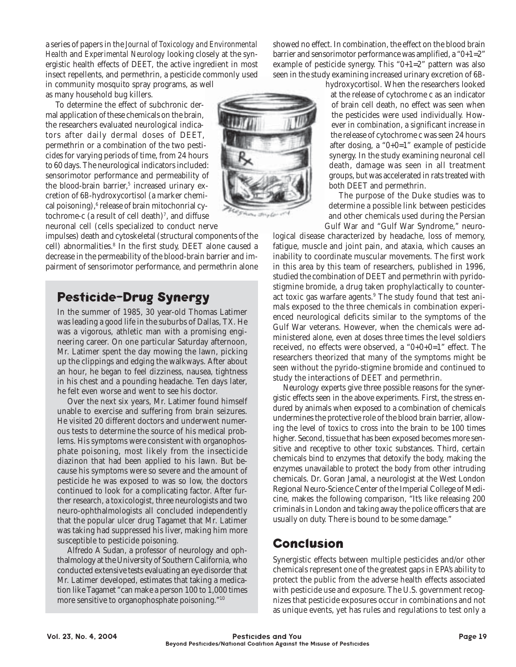a series of papers in the *Journal of Toxicology and Environmental Health* and *Experimental Neurology* looking closely at the synergistic health effects of DEET, the active ingredient in most insect repellents, and permethrin, a pesticide commonly used in community mosquito spray programs, as well

as many household bug killers.

To determine the effect of subchronic dermal application of these chemicals on the brain, the researchers evaluated neurological indicators after daily dermal doses of DEET, permethrin or a combination of the two pesticides for varying periods of time, from 24 hours to 60 days. The neurological indicators included: sensorimotor performance and permeability of the blood-brain barrier,<sup>5</sup> increased urinary excretion of 6*B*-hydroxycortisol (a marker chemical poisoning), $6$  release of brain mitochonrial cytochrome-c (a result of cell death)<sup>7</sup>, and diffuse neuronal cell (cells specialized to conduct nerve

impulses) death and cytoskeletal (structural components of the cell) abnormalities.<sup>8</sup> In the first study, DEET alone caused a decrease in the permeability of the blood-brain barrier and impairment of sensorimotor performance, and permethrin alone

# **Pesticide-Drug Synergy**

In the summer of 1985, 30 year-old Thomas Latimer was leading a good life in the suburbs of Dallas, TX. He was a vigorous, athletic man with a promising engineering career. On one particular Saturday afternoon, Mr. Latimer spent the day mowing the lawn, picking up the clippings and edging the walkways. After about an hour, he began to feel dizziness, nausea, tightness in his chest and a pounding headache. Ten days later, he felt even worse and went to see his doctor.

Over the next six years, Mr. Latimer found himself unable to exercise and suffering from brain seizures. He visited 20 different doctors and underwent numerous tests to determine the source of his medical problems. His symptoms were consistent with organophosphate poisoning, most likely from the insecticide diazinon that had been applied to his lawn. But because his symptoms were so severe and the amount of pesticide he was exposed to was so low, the doctors continued to look for a complicating factor. After further research, a toxicologist, three neurologists and two neuro-ophthalmologists all concluded independently that the popular ulcer drug Tagamet that Mr. Latimer was taking had suppressed his liver, making him more susceptible to pesticide poisoning.

Alfredo A Sudan, a professor of neurology and ophthalmology at the University of Southern California, who conducted extensive tests evaluating an eye disorder that Mr. Latimer developed, estimates that taking a medication like Tagamet "can make a person 100 to 1,000 times more sensitive to organophosphate poisoning."10

showed no effect. In combination, the effect on the blood brain barrier and sensorimotor performance was amplified, a "0+1=2" example of pesticide synergy. This "0+1=2" pattern was also seen in the study examining increased urinary excretion of 6*B*-

hydroxycortisol. When the researchers looked at the release of cytochrome c as an indicator of brain cell death, no effect was seen when the pesticides were used individually. However in combination, a significant increase in the release of cytochrome c was seen 24 hours after dosing, a "0+0=1" example of pesticide synergy. In the study examining neuronal cell death, damage was seen in all treatment groups, but was accelerated in rats treated with both DEET and permethrin.

The purpose of the Duke studies was to determine a possible link between pesticides and other chemicals used during the Persian Gulf War and "Gulf War Syndrome," neuro-

logical disease characterized by headache, loss of memory, fatigue, muscle and joint pain, and ataxia, which causes an inability to coordinate muscular movements. The first work in this area by this team of researchers, published in 1996, studied the combination of DEET and permethrin with pyridostigmine bromide, a drug taken prophylactically to counteract toxic gas warfare agents.<sup>9</sup> The study found that test animals exposed to the three chemicals in combination experienced neurological deficits similar to the symptoms of the Gulf War veterans. However, when the chemicals were administered alone, even at doses three times the level soldiers received, no effects were observed, a "0+0+0=1" effect. The researchers theorized that many of the symptoms might be seen without the pyrido-stigmine bromide and continued to study the interactions of DEET and permethrin.

Neurology experts give three possible reasons for the synergistic effects seen in the above experiments. First, the stress endured by animals when exposed to a combination of chemicals undermines the protective role of the blood brain barrier, allowing the level of toxics to cross into the brain to be 100 times higher. Second, tissue that has been exposed becomes more sensitive and receptive to other toxic substances. Third, certain chemicals bind to enzymes that detoxify the body, making the enzymes unavailable to protect the body from other intruding chemicals. Dr. Goran Jamal, a neurologist at the West London Regional Neuro-Science Center of the Imperial College of Medicine, makes the following comparison, "It's like releasing 200 criminals in London and taking away the police officers that are usually on duty. There is bound to be some damage."

#### **Conclusion**

Synergistic effects between multiple pesticides and/or other chemicals represent one of the greatest gaps in EPA's ability to protect the public from the adverse health effects associated with pesticide use and exposure. The U.S. government recognizes that pesticide exposures occur in combinations and not as unique events, yet has rules and regulations to test only a